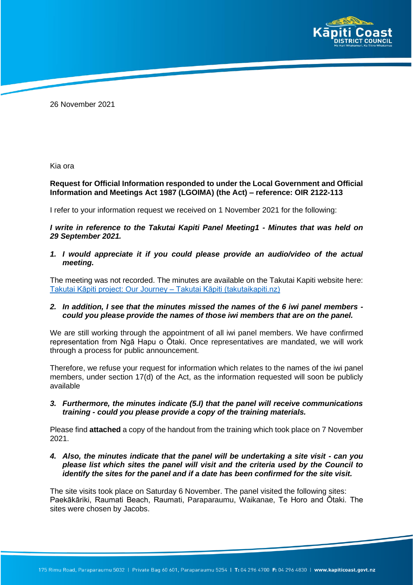

26 November 2021

Kia ora

## **Request for Official Information responded to under the Local Government and Official Information and Meetings Act 1987 (LGOIMA) (the Act) – reference: OIR 2122-113**

I refer to your information request we received on 1 November 2021 for the following:

*I write in reference to the Takutai Kapiti Panel Meeting1 - Minutes that was held on 29 September 2021.* 

*1. I would appreciate it if you could please provide an audio/video of the actual meeting.*

The meeting was not recorded. The minutes are available on the Takutai Kapiti website here: [Takutai Kāpiti project: Our Journey –](https://takutaikapiti.nz/articles/our-journey/) Takutai Kāpiti (takutaikapiti.nz)

#### *2. In addition, I see that the minutes missed the names of the 6 iwi panel members could you please provide the names of those iwi members that are on the panel.*

We are still working through the appointment of all iwi panel members. We have confirmed representation from Ngā Hapu o Ōtaki. Once representatives are mandated, we will work through a process for public announcement.

Therefore, we refuse your request for information which relates to the names of the iwi panel members, under section 17(d) of the Act, as the information requested will soon be publicly available

*3. Furthermore, the minutes indicate (5.I) that the panel will receive communications training - could you please provide a copy of the training materials.*

Please find **attached** a copy of the handout from the training which took place on 7 November 2021.

*4. Also, the minutes indicate that the panel will be undertaking a site visit - can you please list which sites the panel will visit and the criteria used by the Council to identify the sites for the panel and if a date has been confirmed for the site visit.*

The site visits took place on Saturday 6 November. The panel visited the following sites: Paekākāriki, Raumati Beach, Raumati, Paraparaumu, Waikanae, Te Horo and Ōtaki. The sites were chosen by Jacobs.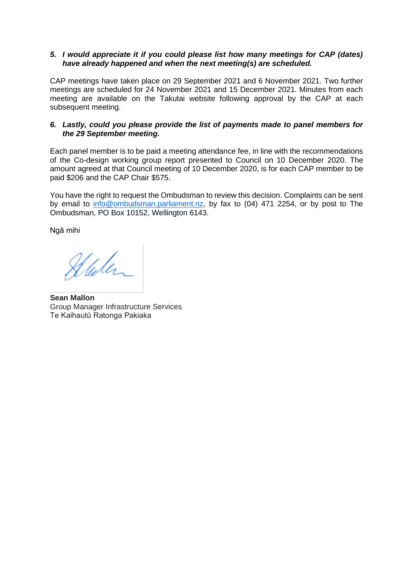## *5. I would appreciate it if you could please list how many meetings for CAP (dates) have already happened and when the next meeting(s) are scheduled.*

CAP meetings have taken place on 29 September 2021 and 6 November 2021. Two further meetings are scheduled for 24 November 2021 and 15 December 2021. Minutes from each meeting are available on the Takutai website following approval by the CAP at each subsequent meeting.

## *6. Lastly, could you please provide the list of payments made to panel members for the 29 September meeting.*

Each panel member is to be paid a meeting attendance fee, in line with the recommendations of the Co-design working group report presented to Council on 10 December 2020. The amount agreed at that Council meeting of 10 December 2020, is for each CAP member to be paid \$206 and the CAP Chair \$575.

You have the right to request the Ombudsman to review this decision. Complaints can be sent by email to [info@ombudsman.parliament.nz,](mailto:info@ombudsman.parliament.nz) by fax to (04) 471 2254, or by post to The Ombudsman, PO Box 10152, Wellington 6143.

Ngā mihi

Stalen

**Sean Mallon** Group Manager Infrastructure Services Te Kaihautū Ratonga Pakiaka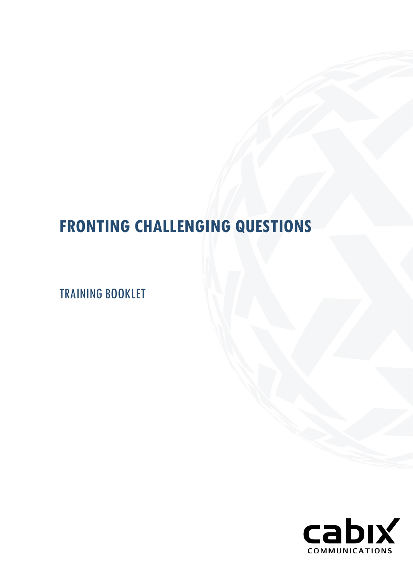# **FRONTING CHALLENGING QUESTIONS**

TRAINING BOOKLET

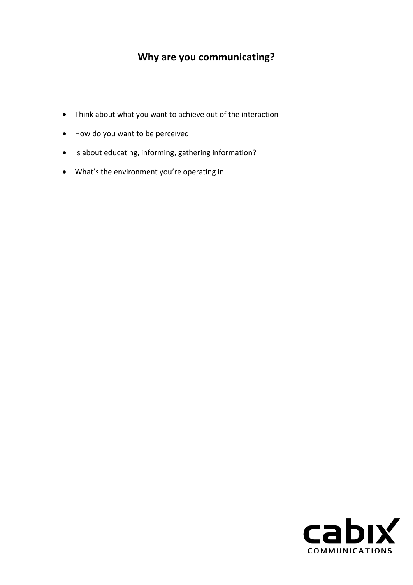# **Why are you communicating?**

- Think about what you want to achieve out of the interaction
- How do you want to be perceived
- Is about educating, informing, gathering information?
- What's the environment you're operating in

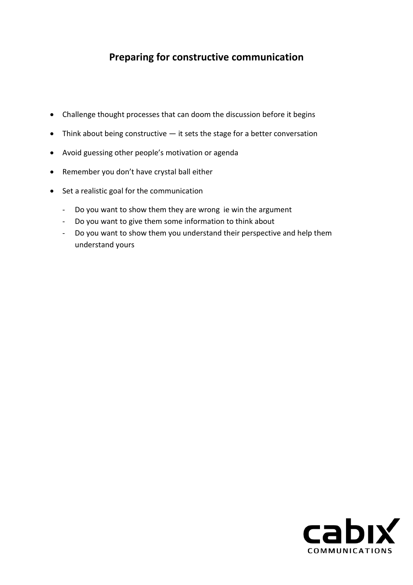# **Preparing for constructive communication**

- Challenge thought processes that can doom the discussion before it begins
- Think about being constructive it sets the stage for a better conversation
- Avoid guessing other people's motivation or agenda
- Remember you don't have crystal ball either
- Set a realistic goal for the communication
	- Do you want to show them they are wrong ie win the argument
	- Do you want to give them some information to think about
	- Do you want to show them you understand their perspective and help them understand yours

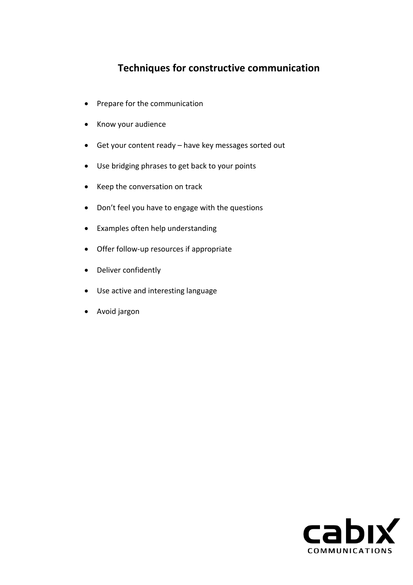## **Techniques for constructive communication**

- Prepare for the communication
- Know your audience
- Get your content ready have key messages sorted out
- Use bridging phrases to get back to your points
- Keep the conversation on track
- Don't feel you have to engage with the questions
- Examples often help understanding
- Offer follow-up resources if appropriate
- Deliver confidently
- Use active and interesting language
- Avoid jargon

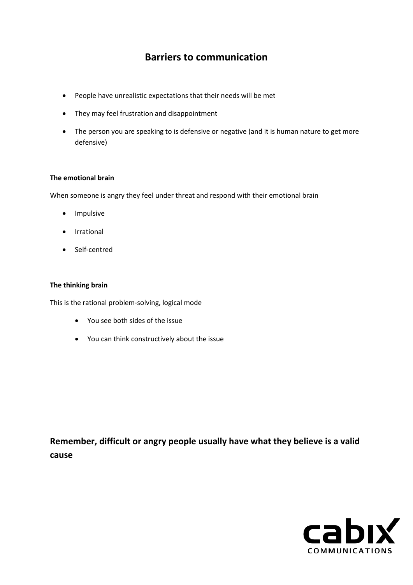## **Barriers to communication**

- People have unrealistic expectations that their needs will be met
- They may feel frustration and disappointment
- The person you are speaking to is defensive or negative (and it is human nature to get more defensive)

#### **The emotional brain**

When someone is angry they feel under threat and respond with their emotional brain

- Impulsive
- Irrational
- Self-centred

#### **The thinking brain**

This is the rational problem-solving, logical mode

- You see both sides of the issue
- You can think constructively about the issue

**Remember, difficult or angry people usually have what they believe is a valid cause**

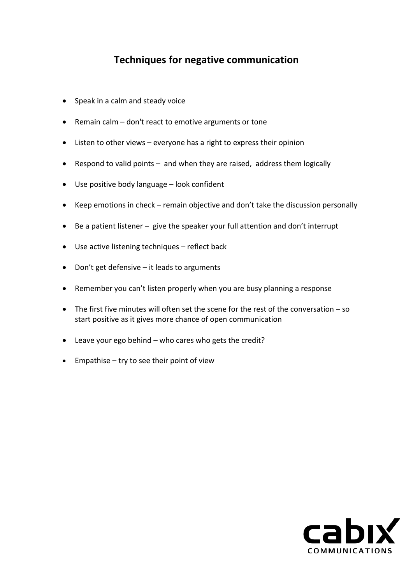## **Techniques for negative communication**

- Speak in a calm and steady voice
- Remain calm don't react to emotive arguments or tone
- Listen to other views everyone has a right to express their opinion
- Respond to valid points and when they are raised, address them logically
- Use positive body language look confident
- Keep emotions in check remain objective and don't take the discussion personally
- Be a patient listener give the speaker your full attention and don't interrupt
- Use active listening techniques reflect back
- Don't get defensive it leads to arguments
- Remember you can't listen properly when you are busy planning a response
- The first five minutes will often set the scene for the rest of the conversation so start positive as it gives more chance of open communication
- Leave your ego behind who cares who gets the credit?
- Empathise try to see their point of view